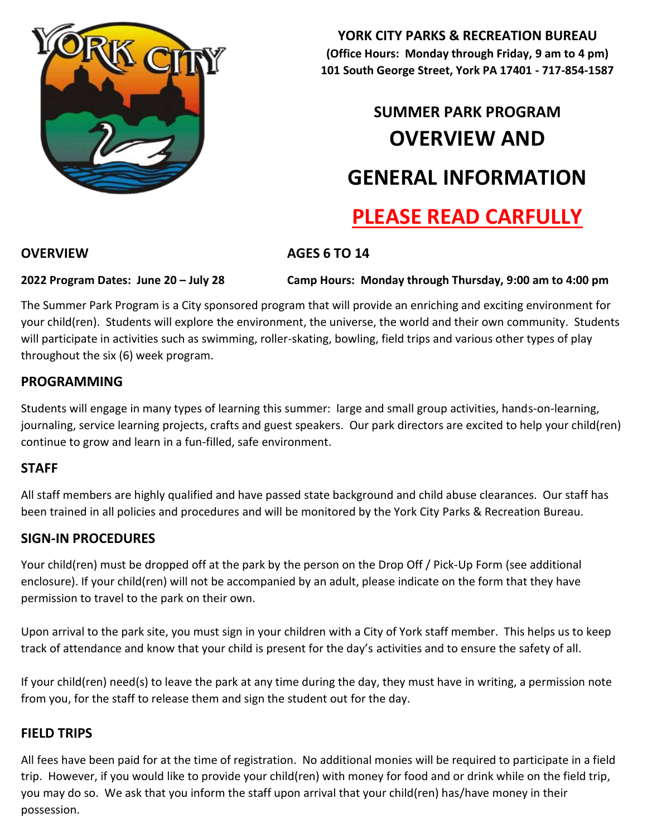

**YORK CITY PARKS & RECREATION BUREAU (Office Hours: Monday through Friday, 9 am to 4 pm) 101 South George Street, York PA 17401 - 717-854-1587** 

# **SUMMER PARK PROGRAM OVERVIEW AND GENERAL INFORMATION PLEASE READ CARFULLY**

## **OVERVIEW AGES 6 TO 14**

**2022 Program Dates: June 20 – July 28 Camp Hours: Monday through Thursday, 9:00 am to 4:00 pm** 

The Summer Park Program is a City sponsored program that will provide an enriching and exciting environment for your child(ren). Students will explore the environment, the universe, the world and their own community. Students will participate in activities such as swimming, roller-skating, bowling, field trips and various other types of play throughout the six (6) week program.

### **PROGRAMMING**

Students will engage in many types of learning this summer: large and small group activities, hands-on-learning, journaling, service learning projects, crafts and guest speakers. Our park directors are excited to help your child(ren) continue to grow and learn in a fun-filled, safe environment.

## **STAFF**

All staff members are highly qualified and have passed state background and child abuse clearances. Our staff has been trained in all policies and procedures and will be monitored by the York City Parks & Recreation Bureau.

#### **SIGN-IN PROCEDURES**

Your child(ren) must be dropped off at the park by the person on the Drop Off / Pick-Up Form (see additional enclosure). If your child(ren) will not be accompanied by an adult, please indicate on the form that they have permission to travel to the park on their own.

Upon arrival to the park site, you must sign in your children with a City of York staff member. This helps us to keep track of attendance and know that your child is present for the day's activities and to ensure the safety of all.

If your child(ren) need(s) to leave the park at any time during the day, they must have in writing, a permission note from you, for the staff to release them and sign the student out for the day.

#### **FIELD TRIPS**

All fees have been paid for at the time of registration. No additional monies will be required to participate in a field trip. However, if you would like to provide your child(ren) with money for food and or drink while on the field trip, you may do so. We ask that you inform the staff upon arrival that your child(ren) has/have money in their possession.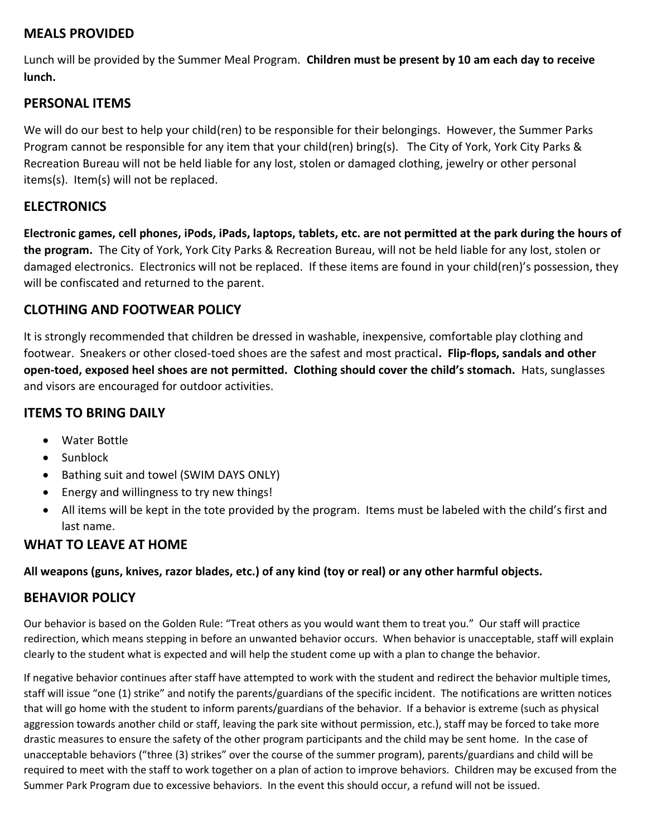### **MEALS PROVIDED**

Lunch will be provided by the Summer Meal Program. **Children must be present by 10 am each day to receive lunch.**

#### **PERSONAL ITEMS**

We will do our best to help your child(ren) to be responsible for their belongings. However, the Summer Parks Program cannot be responsible for any item that your child(ren) bring(s). The City of York, York City Parks & Recreation Bureau will not be held liable for any lost, stolen or damaged clothing, jewelry or other personal items(s). Item(s) will not be replaced.

#### **ELECTRONICS**

**Electronic games, cell phones, iPods, iPads, laptops, tablets, etc. are not permitted at the park during the hours of the program.** The City of York, York City Parks & Recreation Bureau, will not be held liable for any lost, stolen or damaged electronics. Electronics will not be replaced. If these items are found in your child(ren)'s possession, they will be confiscated and returned to the parent.

## **CLOTHING AND FOOTWEAR POLICY**

It is strongly recommended that children be dressed in washable, inexpensive, comfortable play clothing and footwear. Sneakers or other closed-toed shoes are the safest and most practical**. Flip-flops, sandals and other open-toed, exposed heel shoes are not permitted. Clothing should cover the child's stomach.** Hats, sunglasses and visors are encouraged for outdoor activities.

## **ITEMS TO BRING DAILY**

- Water Bottle
- Sunblock
- Bathing suit and towel (SWIM DAYS ONLY)
- Energy and willingness to try new things!
- All items will be kept in the tote provided by the program. Items must be labeled with the child's first and last name.

## **WHAT TO LEAVE AT HOME**

**All weapons (guns, knives, razor blades, etc.) of any kind (toy or real) or any other harmful objects.**

#### **BEHAVIOR POLICY**

Our behavior is based on the Golden Rule: "Treat others as you would want them to treat you." Our staff will practice redirection, which means stepping in before an unwanted behavior occurs. When behavior is unacceptable, staff will explain clearly to the student what is expected and will help the student come up with a plan to change the behavior.

If negative behavior continues after staff have attempted to work with the student and redirect the behavior multiple times, staff will issue "one (1) strike" and notify the parents/guardians of the specific incident. The notifications are written notices that will go home with the student to inform parents/guardians of the behavior. If a behavior is extreme (such as physical aggression towards another child or staff, leaving the park site without permission, etc.), staff may be forced to take more drastic measures to ensure the safety of the other program participants and the child may be sent home. In the case of unacceptable behaviors ("three (3) strikes" over the course of the summer program), parents/guardians and child will be required to meet with the staff to work together on a plan of action to improve behaviors. Children may be excused from the Summer Park Program due to excessive behaviors. In the event this should occur, a refund will not be issued.